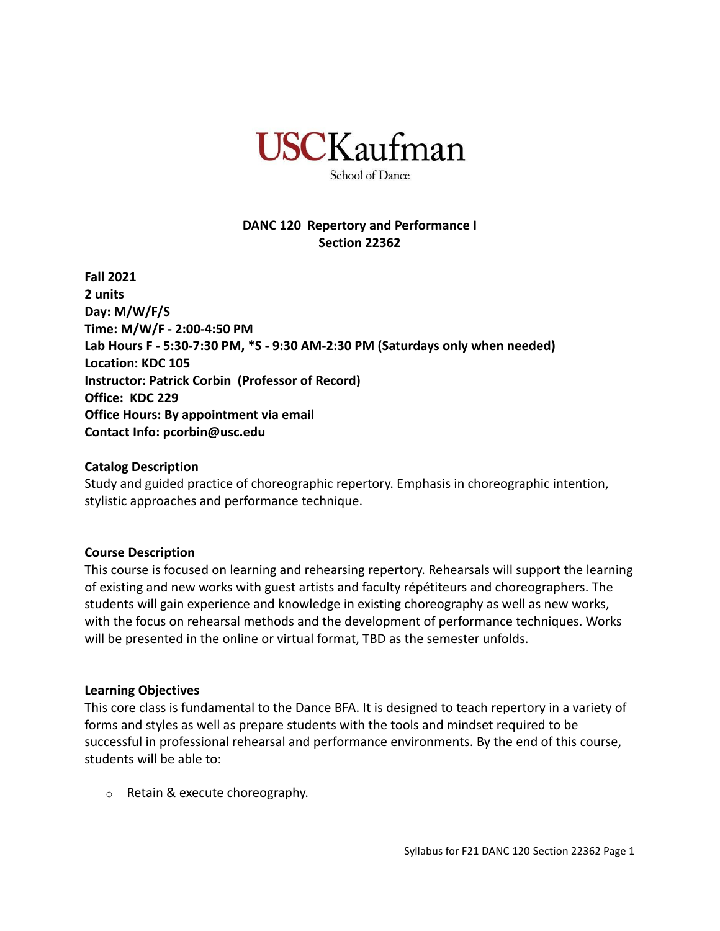

School of Dance

## **DANC 120 Repertory and Performance I Section 22362**

**Fall 2021 2 units Day: M/W/F/S Time: M/W/F - 2:00-4:50 PM Lab Hours F - 5:30-7:30 PM, \*S - 9:30 AM-2:30 PM (Saturdays only when needed) Location: KDC 105 Instructor: Patrick Corbin (Professor of Record) Office: KDC 229 Office Hours: By appointment via email Contact Info: pcorbin@usc.edu**

#### **Catalog Description**

Study and guided practice of choreographic repertory. Emphasis in choreographic intention, stylistic approaches and performance technique.

### **Course Description**

This course is focused on learning and rehearsing repertory. Rehearsals will support the learning of existing and new works with guest artists and faculty répétiteurs and choreographers. The students will gain experience and knowledge in existing choreography as well as new works, with the focus on rehearsal methods and the development of performance techniques. Works will be presented in the online or virtual format, TBD as the semester unfolds.

#### **Learning Objectives**

This core class is fundamental to the Dance BFA. It is designed to teach repertory in a variety of forms and styles as well as prepare students with the tools and mindset required to be successful in professional rehearsal and performance environments. By the end of this course, students will be able to:

o Retain & execute choreography.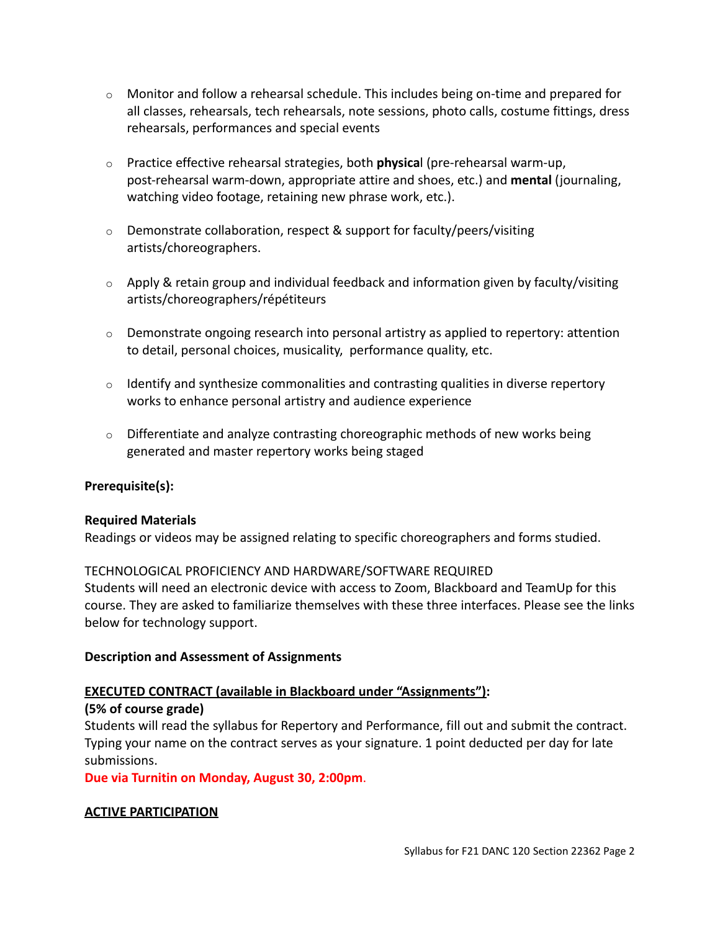- $\circ$  Monitor and follow a rehearsal schedule. This includes being on-time and prepared for all classes, rehearsals, tech rehearsals, note sessions, photo calls, costume fittings, dress rehearsals, performances and special events
- o Practice effective rehearsal strategies, both **physica**l (pre-rehearsal warm-up, post-rehearsal warm-down, appropriate attire and shoes, etc.) and **mental** (journaling, watching video footage, retaining new phrase work, etc.).
- o Demonstrate collaboration, respect & support for faculty/peers/visiting artists/choreographers.
- $\circ$  Apply & retain group and individual feedback and information given by faculty/visiting artists/choreographers/répétiteurs
- $\circ$  Demonstrate ongoing research into personal artistry as applied to repertory: attention to detail, personal choices, musicality, performance quality, etc.
- $\circ$  Identify and synthesize commonalities and contrasting qualities in diverse repertory works to enhance personal artistry and audience experience
- $\circ$  Differentiate and analyze contrasting choreographic methods of new works being generated and master repertory works being staged

## **Prerequisite(s):**

### **Required Materials**

Readings or videos may be assigned relating to specific choreographers and forms studied.

### TECHNOLOGICAL PROFICIENCY AND HARDWARE/SOFTWARE REQUIRED

Students will need an electronic device with access to Zoom, Blackboard and TeamUp for this course. They are asked to familiarize themselves with these three interfaces. Please see the links below for technology support.

### **Description and Assessment of Assignments**

## **EXECUTED CONTRACT (available in Blackboard under "Assignments"):**

## **(5% of course grade)**

Students will read the syllabus for Repertory and Performance, fill out and submit the contract. Typing your name on the contract serves as your signature. 1 point deducted per day for late submissions.

**Due via Turnitin on Monday, August 30, 2:00pm**.

## **ACTIVE PARTICIPATION**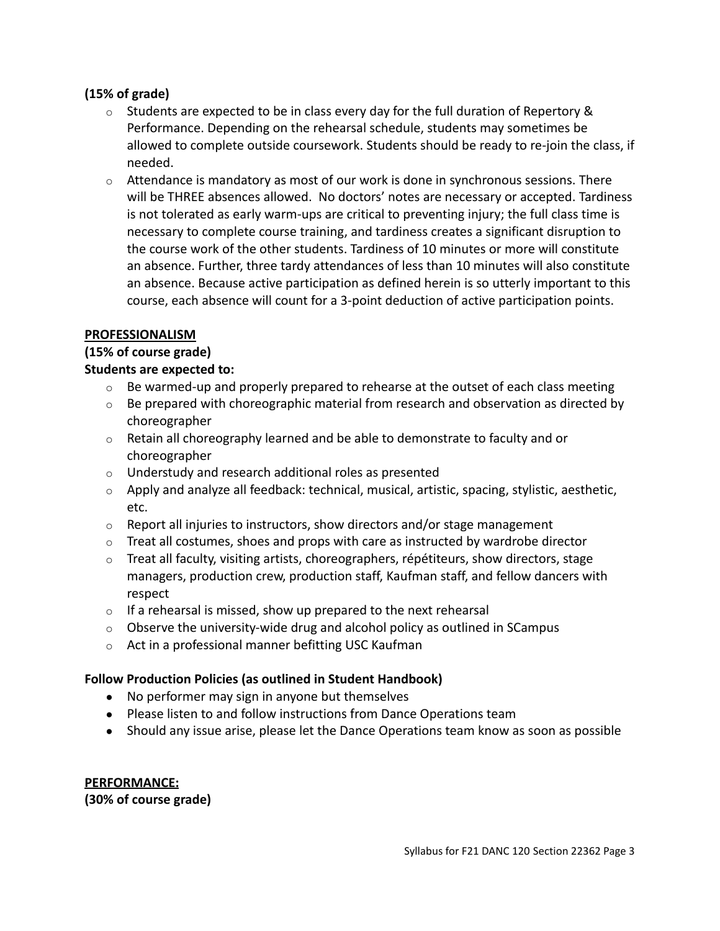## **(15% of grade)**

- $\circ$  Students are expected to be in class every day for the full duration of Repertory & Performance. Depending on the rehearsal schedule, students may sometimes be allowed to complete outside coursework. Students should be ready to re-join the class, if needed.
- $\circ$  Attendance is mandatory as most of our work is done in synchronous sessions. There will be THREE absences allowed. No doctors' notes are necessary or accepted. Tardiness is not tolerated as early warm-ups are critical to preventing injury; the full class time is necessary to complete course training, and tardiness creates a significant disruption to the course work of the other students. Tardiness of 10 minutes or more will constitute an absence. Further, three tardy attendances of less than 10 minutes will also constitute an absence. Because active participation as defined herein is so utterly important to this course, each absence will count for a 3-point deduction of active participation points.

#### **PROFESSIONALISM**

### **(15% of course grade)**

### **Students are expected to:**

- $\circ$  Be warmed-up and properly prepared to rehearse at the outset of each class meeting
- $\circ$  Be prepared with choreographic material from research and observation as directed by choreographer
- $\circ$  Retain all choreography learned and be able to demonstrate to faculty and or choreographer
- o Understudy and research additional roles as presented
- o Apply and analyze all feedback: technical, musical, artistic, spacing, stylistic, aesthetic, etc.
- $\circ$  Report all injuries to instructors, show directors and/or stage management
- $\circ$  Treat all costumes, shoes and props with care as instructed by wardrobe director
- $\circ$  Treat all faculty, visiting artists, choreographers, répétiteurs, show directors, stage managers, production crew, production staff, Kaufman staff, and fellow dancers with respect
- $\circ$  If a rehearsal is missed, show up prepared to the next rehearsal
- $\circ$  Observe the university-wide drug and alcohol policy as outlined in SCampus
- o Act in a professional manner befitting USC Kaufman

### **Follow Production Policies (as outlined in Student Handbook)**

- No performer may sign in anyone but themselves
- Please listen to and follow instructions from Dance Operations team
- Should any issue arise, please let the Dance Operations team know as soon as possible

## **PERFORMANCE:**

**(30% of course grade)**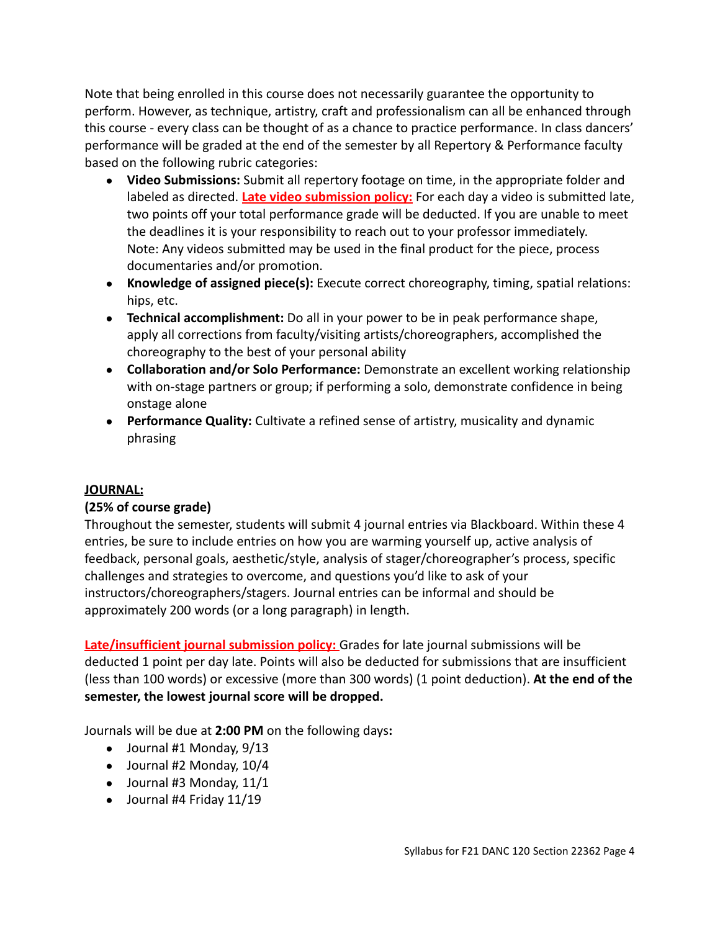Note that being enrolled in this course does not necessarily guarantee the opportunity to perform. However, as technique, artistry, craft and professionalism can all be enhanced through this course - every class can be thought of as a chance to practice performance. In class dancers' performance will be graded at the end of the semester by all Repertory & Performance faculty based on the following rubric categories:

- **Video Submissions:** Submit all repertory footage on time, in the appropriate folder and labeled as directed. **Late video submission policy:** For each day a video is submitted late, two points off your total performance grade will be deducted. If you are unable to meet the deadlines it is your responsibility to reach out to your professor immediately. Note: Any videos submitted may be used in the final product for the piece, process documentaries and/or promotion.
- **Knowledge of assigned piece(s):** Execute correct choreography, timing, spatial relations: hips, etc.
- **● Technical accomplishment:** Do all in your power to be in peak performance shape, apply all corrections from faculty/visiting artists/choreographers, accomplished the choreography to the best of your personal ability
- **● Collaboration and/or Solo Performance:** Demonstrate an excellent working relationship with on-stage partners or group; if performing a solo, demonstrate confidence in being onstage alone
- **● Performance Quality:** Cultivate a refined sense of artistry, musicality and dynamic phrasing

## **JOURNAL:**

# **(25% of course grade)**

Throughout the semester, students will submit 4 journal entries via Blackboard. Within these 4 entries, be sure to include entries on how you are warming yourself up, active analysis of feedback, personal goals, aesthetic/style, analysis of stager/choreographer's process, specific challenges and strategies to overcome, and questions you'd like to ask of your instructors/choreographers/stagers. Journal entries can be informal and should be approximately 200 words (or a long paragraph) in length.

**Late/insufficient journal submission policy:** Grades for late journal submissions will be deducted 1 point per day late. Points will also be deducted for submissions that are insufficient (less than 100 words) or excessive (more than 300 words) (1 point deduction). **At the end of the semester, the lowest journal score will be dropped.**

Journals will be due at **2:00 PM** on the following days**:**

- $\bullet$  Journal #1 Monday, 9/13
- $\bullet$  Journal #2 Monday, 10/4
- $\bullet$  Journal #3 Monday, 11/1
- Journal #4 Friday 11/19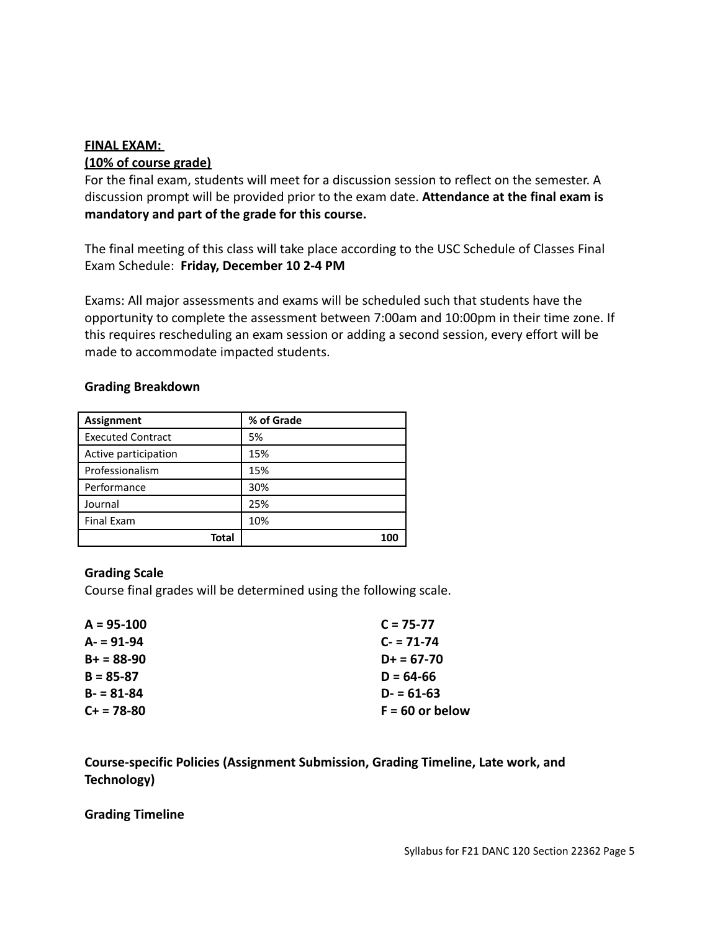#### **FINAL EXAM:**

### **(10% of course grade)**

For the final exam, students will meet for a discussion session to reflect on the semester. A discussion prompt will be provided prior to the exam date. **Attendance at the final exam is mandatory and part of the grade for this course.**

The final meeting of this class will take place according to the USC Schedule of Classes Final Exam Schedule: **Friday, December 10 2-4 PM**

Exams: All major assessments and exams will be scheduled such that students have the opportunity to complete the assessment between 7:00am and 10:00pm in their time zone. If this requires rescheduling an exam session or adding a second session, every effort will be made to accommodate impacted students.

#### **Grading Breakdown**

| <b>Assignment</b>        | % of Grade |
|--------------------------|------------|
| <b>Executed Contract</b> | 5%         |
| Active participation     | 15%        |
| Professionalism          | 15%        |
| Performance              | 30%        |
| Journal                  | 25%        |
| <b>Final Exam</b>        | 10%        |
| Total                    | 100        |

### **Grading Scale**

Course final grades will be determined using the following scale.

| $C = 75 - 77$     |
|-------------------|
| $C = 71-74$       |
| $D+ = 67-70$      |
| $D = 64-66$       |
| $D = 61-63$       |
| $F = 60$ or below |
|                   |

**Course-specific Policies (Assignment Submission, Grading Timeline, Late work, and Technology)**

**Grading Timeline**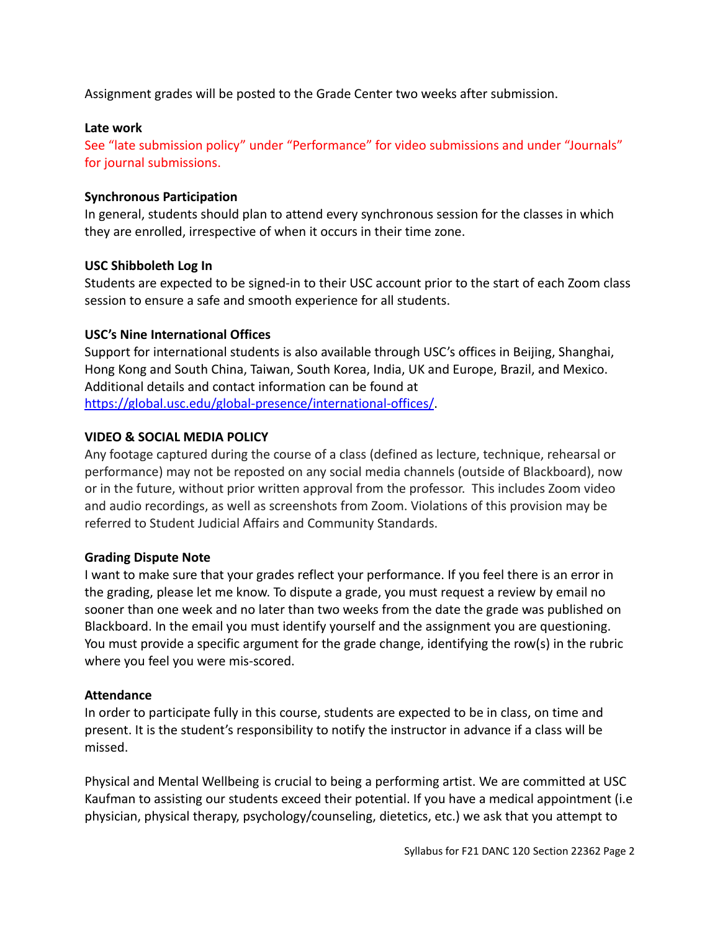Assignment grades will be posted to the Grade Center two weeks after submission.

#### **Late work**

See "late submission policy" under "Performance" for video submissions and under "Journals" for journal submissions.

#### **Synchronous Participation**

In general, students should plan to attend every synchronous session for the classes in which they are enrolled, irrespective of when it occurs in their time zone.

#### **USC Shibboleth Log In**

Students are expected to be signed-in to their USC account prior to the start of each Zoom class session to ensure a safe and smooth experience for all students.

### **USC's Nine International Offices**

Support for international students is also available through USC's offices in Beijing, Shanghai, Hong Kong and South China, Taiwan, South Korea, India, U[K](http://click.comms.usc.edu/?qs=c79d21e58ec0c0385407e9af52d74744c7d898474dab66d4963816ae0f15c672d2e4c5d0df213a49a55b55494b5ffe13afbf57b2693386b1) and Europe, Brazil, and Mexico. Additional details and contact information can be found at [https://global.usc.edu/global-presence/international-offices/](http://click.comms.usc.edu/?qs=c79d21e58ec0c0385407e9af52d74744c7d898474dab66d4963816ae0f15c672d2e4c5d0df213a49a55b55494b5ffe13afbf57b2693386b1).

### **VIDEO & SOCIAL MEDIA POLICY**

Any footage captured during the course of a class (defined as lecture, technique, rehearsal or performance) may not be reposted on any social media channels (outside of Blackboard), now or in the future, without prior written approval from the professor. This includes Zoom video and audio recordings, as well as screenshots from Zoom. Violations of this provision may be referred to Student Judicial Affairs and Community Standards.

### **Grading Dispute Note**

I want to make sure that your grades reflect your performance. If you feel there is an error in the grading, please let me know. To dispute a grade, you must request a review by email no sooner than one week and no later than two weeks from the date the grade was published on Blackboard. In the email you must identify yourself and the assignment you are questioning. You must provide a specific argument for the grade change, identifying the row(s) in the rubric where you feel you were mis-scored.

### **Attendance**

In order to participate fully in this course, students are expected to be in class, on time and present. It is the student's responsibility to notify the instructor in advance if a class will be missed.

Physical and Mental Wellbeing is crucial to being a performing artist. We are committed at USC Kaufman to assisting our students exceed their potential. If you have a medical appointment (i.e physician, physical therapy, psychology/counseling, dietetics, etc.) we ask that you attempt to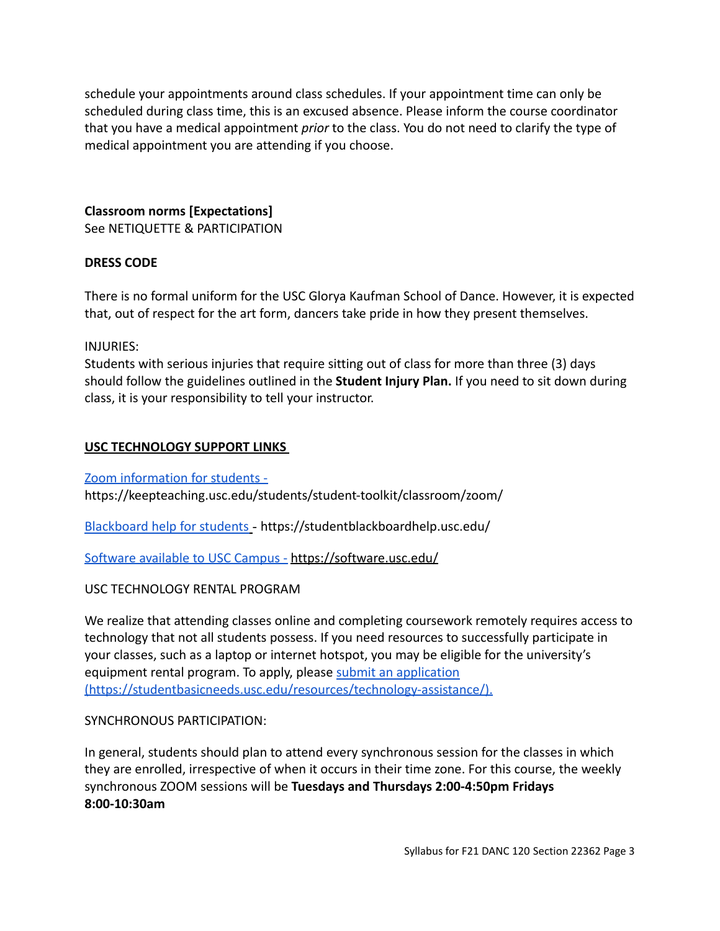schedule your appointments around class schedules. If your appointment time can only be scheduled during class time, this is an excused absence. Please inform the course coordinator that you have a medical appointment *prior* to the class. You do not need to clarify the type of medical appointment you are attending if you choose.

**Classroom norms [Expectations]**

See NETIQUETTE & PARTICIPATION

## **DRESS CODE**

There is no formal uniform for the USC Glorya Kaufman School of Dance. However, it is expected that, out of respect for the art form, dancers take pride in how they present themselves.

INJURIES:

Students with serious injuries that require sitting out of class for more than three (3) days should follow the guidelines outlined in the **Student Injury Plan.** If you need to sit down during class, it is your responsibility to tell your instructor.

## **USC TECHNOLOGY SUPPORT LINKS**

[Zoom information for students](https://keepteaching.usc.edu/students/student-toolkit/classroom/zoom/) https://keepteaching.usc.edu/students/student-toolkit/classroom/zoom/

[Blackboard help for students](https://studentblackboardhelp.usc.edu/) - https://studentblackboardhelp.usc.edu/

[Software available to USC Campus](https://software.usc.edu/) - <https://software.usc.edu/>

## USC TECHNOLOGY RENTAL PROGRAM

We realize that attending classes online and completing coursework remotely requires access to technology that not all students possess. If you need resources to successfully participate in your classes, such as a laptop or internet hotspot, you may be eligible for the university's equipment rental program. To apply, please submit [an application](https://studentbasicneeds.usc.edu/resources/technology-assistance/) [\(https://studentbasicneeds.usc.edu/resources/technology-assistance/\).](https://studentbasicneeds.usc.edu/resources/technology-assistance/)

### SYNCHRONOUS PARTICIPATION:

In general, students should plan to attend every synchronous session for the classes in which they are enrolled, irrespective of when it occurs in their time zone. For this course, the weekly synchronous ZOOM sessions will be **Tuesdays and Thursdays 2:00-4:50pm Fridays 8:00-10:30am**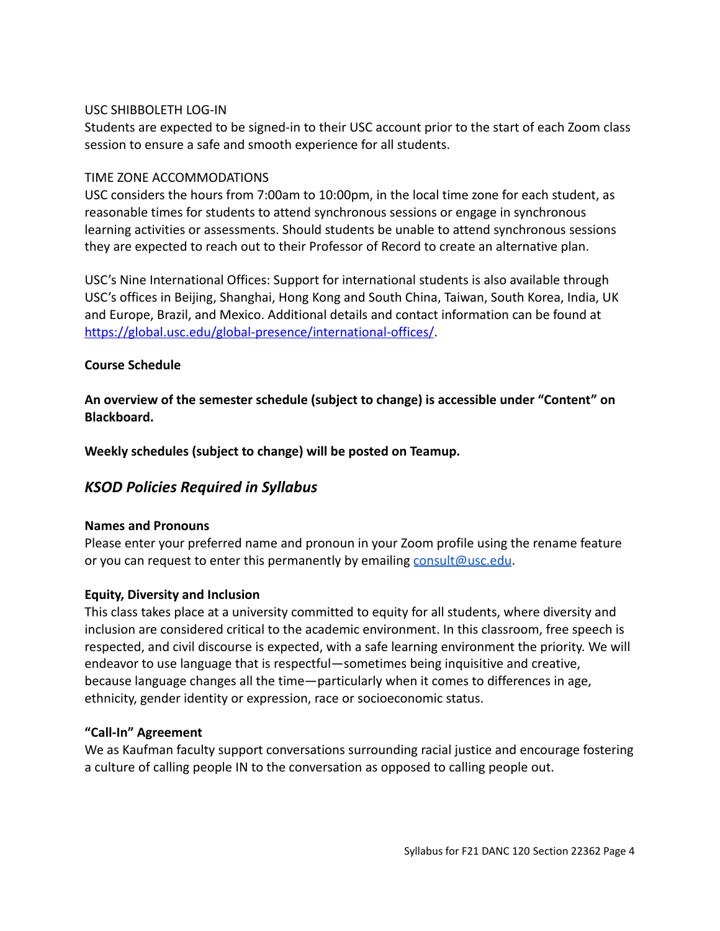## USC SHIBBOLETH LOG-IN

Students are expected to be signed-in to their USC account prior to the start of each Zoom class session to ensure a safe and smooth experience for all students.

## TIME ZONE ACCOMMODATIONS

USC considers the hours from 7:00am to 10:00pm, in the local time zone for each student, as reasonable times for students to attend synchronous sessions or engage in synchronous learning activities or assessments. Should students be unable to attend synchronous sessions they are expected to reach out to their Professor of Record to create an alternative plan.

USC's Nine International Offices: Support for international students is also available through USC's offices in Beijing, Shanghai, Hong Kong and South China, Taiwan, South Korea, India, UK and Europe, Brazil, and Mexico. Additional details and contact information can be found at [https://global.usc.edu/global-presence/international-offices/](http://click.comms.usc.edu/?qs=c79d21e58ec0c0385407e9af52d74744c7d898474dab66d4963816ae0f15c672d2e4c5d0df213a49a55b55494b5ffe13afbf57b2693386b1).

## **Course Schedule**

**An overview of the semester schedule (subject to change) is accessible under "Content" on Blackboard.**

**Weekly schedules (subject to change) will be posted on Teamup.**

# *KSOD Policies Required in Syllabus*

### **Names and Pronouns**

Please enter your preferred name and pronoun in your Zoom profile using the rename feature or you can request to enter this permanently by emailing [consult@usc.edu](mailto:consult@usc.edu).

## **Equity, Diversity and Inclusion**

This class takes place at a university committed to equity for all students, where diversity and inclusion are considered critical to the academic environment. In this classroom, free speech is respected, and civil discourse is expected, with a safe learning environment the priority. We will endeavor to use language that is respectful—sometimes being inquisitive and creative, because language changes all the time—particularly when it comes to differences in age, ethnicity, gender identity or expression, race or socioeconomic status.

## **"Call-In" Agreement**

We as Kaufman faculty support conversations surrounding racial justice and encourage fostering a culture of calling people IN to the conversation as opposed to calling people out.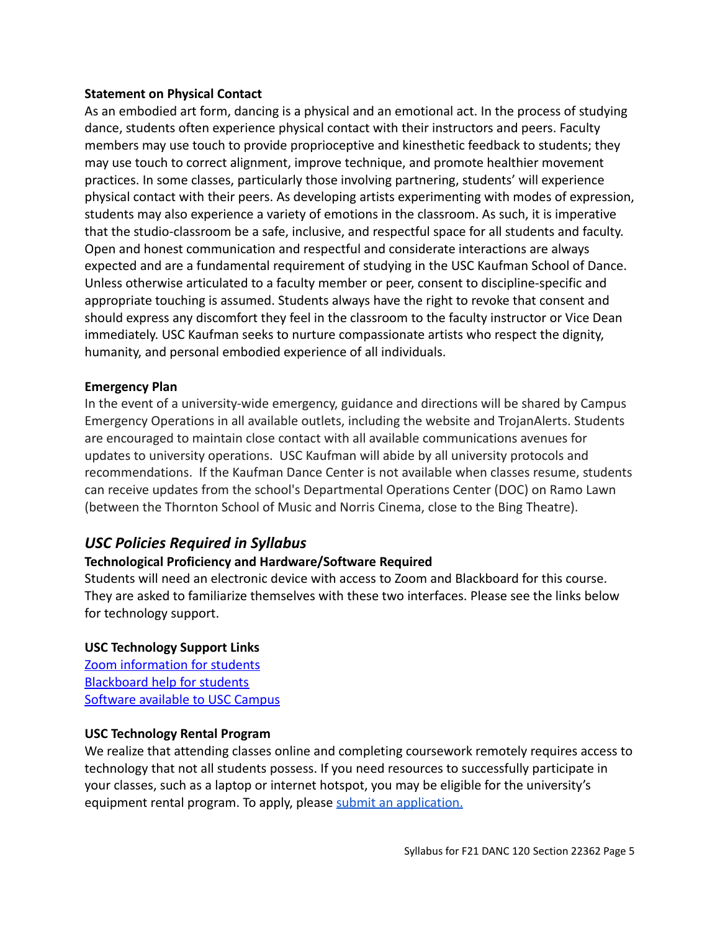## **Statement on Physical Contact**

As an embodied art form, dancing is a physical and an emotional act. In the process of studying dance, students often experience physical contact with their instructors and peers. Faculty members may use touch to provide proprioceptive and kinesthetic feedback to students; they may use touch to correct alignment, improve technique, and promote healthier movement practices. In some classes, particularly those involving partnering, students' will experience physical contact with their peers. As developing artists experimenting with modes of expression, students may also experience a variety of emotions in the classroom. As such, it is imperative that the studio-classroom be a safe, inclusive, and respectful space for all students and faculty. Open and honest communication and respectful and considerate interactions are always expected and are a fundamental requirement of studying in the USC Kaufman School of Dance. Unless otherwise articulated to a faculty member or peer, consent to discipline-specific and appropriate touching is assumed. Students always have the right to revoke that consent and should express any discomfort they feel in the classroom to the faculty instructor or Vice Dean immediately. USC Kaufman seeks to nurture compassionate artists who respect the dignity, humanity, and personal embodied experience of all individuals.

### **Emergency Plan**

In the event of a university-wide emergency, guidance and directions will be shared by Campus Emergency Operations in all available outlets, including the website and TrojanAlerts. Students are encouraged to maintain close contact with all available communications avenues for updates to university operations. USC Kaufman will abide by all university protocols and recommendations. If the Kaufman Dance Center is not available when classes resume, students can receive updates from the school's Departmental Operations Center (DOC) on Ramo Lawn (between the Thornton School of Music and Norris Cinema, close to the Bing Theatre).

# *USC Policies Required in Syllabus*

## **Technological Proficiency and Hardware/Software Required**

Students will need an electronic device with access to Zoom and Blackboard for this course. They are asked to familiarize themselves with these two interfaces. Please see the links below for technology support.

## **USC Technology Support Links**

[Zoom information for students](https://keepteaching.usc.edu/students/student-toolkit/classroom/zoom/) [Blackboard help for students](https://studentblackboardhelp.usc.edu/) [Software available to USC Campus](https://software.usc.edu/)

### **USC Technology Rental Program**

We realize that attending classes online and completing coursework remotely requires access to technology that not all students possess. If you need resources to successfully participate in your classes, such as a laptop or internet hotspot, you may be eligible for the university's equipment rental program. To apply, please submit [an application.](https://studentbasicneeds.usc.edu/resources/technology-assistance/)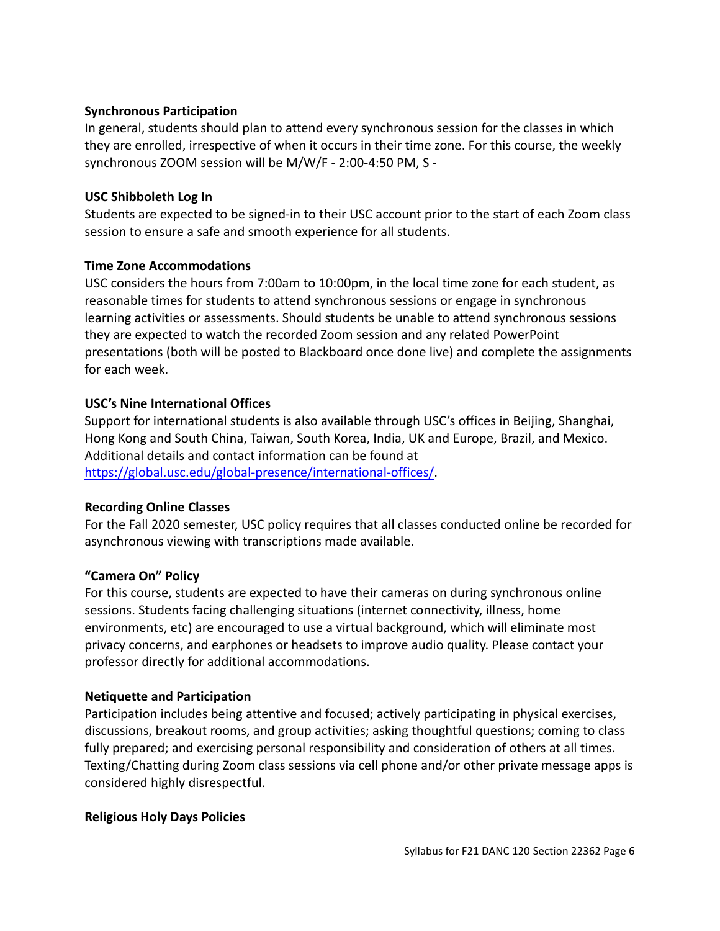## **Synchronous Participation**

In general, students should plan to attend every synchronous session for the classes in which they are enrolled, irrespective of when it occurs in their time zone. For this course, the weekly synchronous ZOOM session will be M/W/F - 2:00-4:50 PM, S -

## **USC Shibboleth Log In**

Students are expected to be signed-in to their USC account prior to the start of each Zoom class session to ensure a safe and smooth experience for all students.

## **Time Zone Accommodations**

USC considers the hours from 7:00am to 10:00pm, in the local time zone for each student, as reasonable times for students to attend synchronous sessions or engage in synchronous learning activities or assessments. Should students be unable to attend synchronous sessions they are expected to watch the recorded Zoom session and any related PowerPoint presentations (both will be posted to Blackboard once done live) and complete the assignments for each week.

## **USC's Nine International Offices**

Support for international students is also available through USC's offices in Beijing, Shanghai, Hong Kong and South China, Taiwan, South Korea, India, UK and Europe, Brazil, and Mexico. Additional details and contact information can be found at [https://global.usc.edu/global-presence/international-offices/](http://click.comms.usc.edu/?qs=c79d21e58ec0c0385407e9af52d74744c7d898474dab66d4963816ae0f15c672d2e4c5d0df213a49a55b55494b5ffe13afbf57b2693386b1).

### **Recording Online Classes**

For the Fall 2020 semester, USC policy requires that all classes conducted online be recorded for asynchronous viewing with transcriptions made available.

## **"Camera On" Policy**

For this course, students are expected to have their cameras on during synchronous online sessions. Students facing challenging situations (internet connectivity, illness, home environments, etc) are encouraged to use a virtual background, which will eliminate most privacy concerns, and earphones or headsets to improve audio quality. Please contact your professor directly for additional accommodations.

### **Netiquette and Participation**

Participation includes being attentive and focused; actively participating in physical exercises, discussions, breakout rooms, and group activities; asking thoughtful questions; coming to class fully prepared; and exercising personal responsibility and consideration of others at all times. Texting/Chatting during Zoom class sessions via cell phone and/or other private message apps is considered highly disrespectful.

### **Religious Holy Days Policies**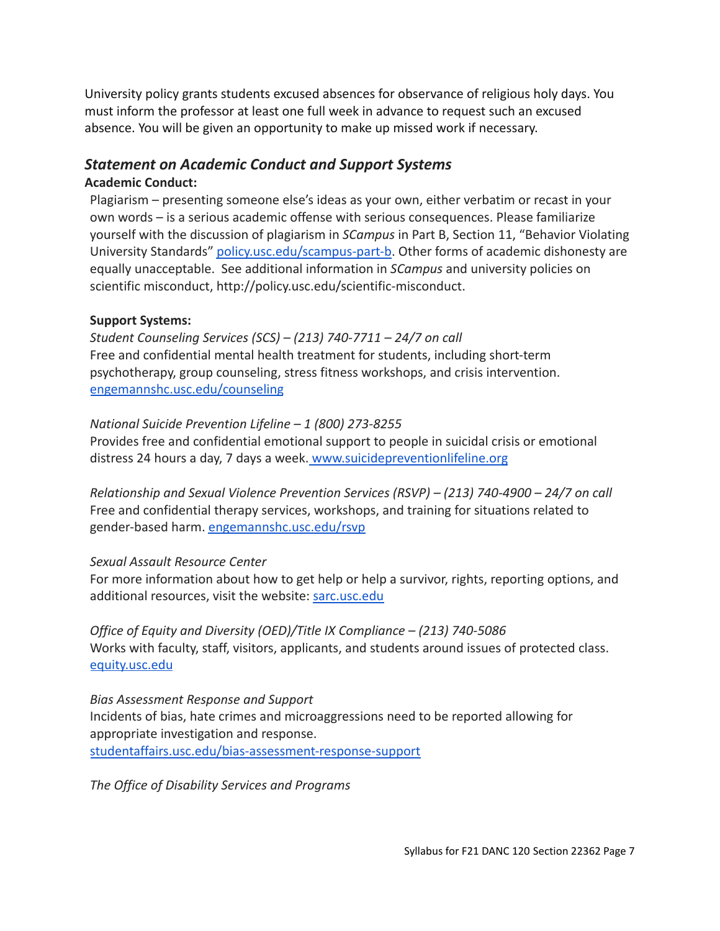University policy grants students excused absences for observance of religious holy days. You must inform the professor at least one full week in advance to request such an excused absence. You will be given an opportunity to make up missed work if necessary.

# *Statement on Academic Conduct and Support Systems*

## **Academic Conduct:**

Plagiarism – presenting someone else's ideas as your own, either verbatim or recast in your own words – is a serious academic offense with serious consequences. Please familiarize yourself with the discussion of plagiarism in *SCampus* in Part B, Section 11, "Behavior Violating University Standards" [policy.usc.edu/scampus-part-b](https://policy.usc.edu/scampus-part-b/). Other forms of academic dishonesty are equally unacceptable. See additional information in *SCampus* and university policies on scientific misconduct, http://policy.usc.edu/scientific-misconduct.

## **Support Systems:**

*Student Counseling Services (SCS) – (213) 740-7711 – 24/7 on call* Free and confidential mental health treatment for students, including short-term psychotherapy, group counseling, stress fitness workshops, and crisis intervention. [engemannshc.usc.edu/counseling](https://engemannshc.usc.edu/counseling)

## *National Suicide Prevention Lifeline – 1 (800) 273-8255*

Provides free and confidential emotional support to people in suicidal crisis or emotional distress 24 hours a day, 7 days a week. [www.suicidepreventionlifeline.org](http://www.suicidepreventionlifeline.org/)

*Relationship and Sexual Violence Prevention Services (RSVP) – (213) 740-4900 – 24/7 on call* Free and confidential therapy services, workshops, and training for situations related to gender-based harm. [engemannshc.usc.edu/rsvp](https://engemannshc.usc.edu/rsvp/)

### *Sexual Assault Resource Center*

For more information about how to get help or help a survivor, rights, reporting options, and additional resources, visit the website: [sarc.usc.edu](http://sarc.usc.edu/)

*Office of Equity and Diversity (OED)/Title IX Compliance – (213) 740-5086* Works with faculty, staff, visitors, applicants, and students around issues of protected class[.](http://equity.usc.edu/) [equity.usc.edu](http://equity.usc.edu/)

*Bias Assessment Response and Support* Incidents of bias, hate crimes and microaggressions need to be reported allowing for appropriate investigation and response. [studentaffairs.usc.edu/bias-assessment-response-support](https://studentaffairs.usc.edu/bias-assessment-response-support/)

*The Office of Disability Services and Programs*